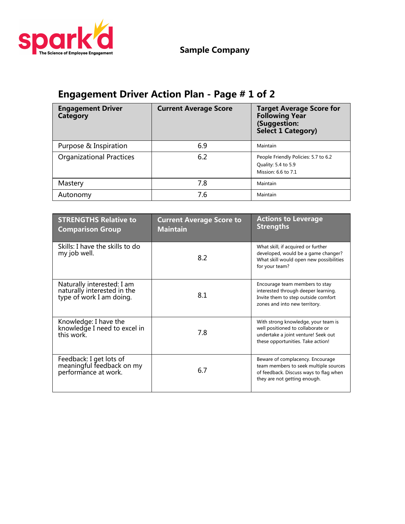

**Sample Company**

## **Engagement Driver Action Plan - Page # 1 of 2**

| <b>Engagement Driver</b><br><b>Category</b> | <b>Current Average Score</b> | <b>Target Average Score for</b><br><b>Following Year</b><br>(Suggestion:<br>Select 1 Category) |
|---------------------------------------------|------------------------------|------------------------------------------------------------------------------------------------|
| Purpose & Inspiration                       | 6.9                          | Maintain                                                                                       |
| <b>Organizational Practices</b>             | 6.2                          | People Friendly Policies: 5.7 to 6.2<br>Quality: 5.4 to 5.9<br>Mission: 6.6 to 7.1             |
| Mastery                                     | 7.8                          | Maintain                                                                                       |
| Autonomy                                    | 7.6                          | Maintain                                                                                       |

| <b>STRENGTHS Relative to</b><br><b>Comparison Group</b>                               | <b>Current Average Score to</b><br><b>Maintain</b> | <b>Actions to Leverage</b><br><b>Strengths</b>                                                                                                       |
|---------------------------------------------------------------------------------------|----------------------------------------------------|------------------------------------------------------------------------------------------------------------------------------------------------------|
| Skills: I have the skills to do<br>my job well.                                       | 8.2                                                | What skill, if acquired or further<br>developed, would be a game changer?<br>What skill would open new possibilities<br>for your team?               |
| Naturally interested: I am<br>naturally interested in the<br>type of work I am doing. | 8.1                                                | Encourage team members to stay<br>interested through deeper learning.<br>Invite them to step outside comfort<br>zones and into new territory.        |
| Knowledge: I have the<br>knowledge I need to excel in<br>this work.                   | 7.8                                                | With strong knowledge, your team is<br>well positioned to collaborate or<br>undertake a joint venture! Seek out<br>these opportunities. Take action! |
| Feedback: I get lots of<br>meaningful feedback on my<br>performance at work.          | 6.7                                                | Beware of complacency. Encourage<br>team members to seek multiple sources<br>of feedback. Discuss ways to flag when<br>they are not getting enough.  |